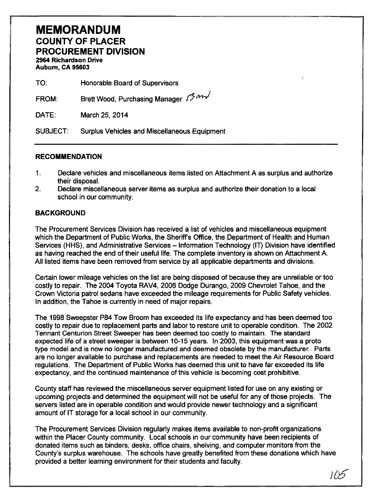# **MEMORANDUM**  COUNTY OF PLACER PROCUREMENT DIVISION 2964 Richardson Drive Auburn, CA 95603

| TO <sup>.</sup> | Honorable Board of Supervisors    |
|-----------------|-----------------------------------|
| FROM:           | Brett Wood, Purchasing Manager 13 |
| DATE:           | March 25, 2014                    |

SUBJECT: Surplus Vehicles and Miscellaneous Equipment

### RECOMMENDATION

- 1. Declare vehicles and miscellaneous items listed on Attachment A as surplus and authorize their disposal.
- 2. Declare miscellaneous server items as surplus and authorize their donation to a local school in our community.

### **BACKGROUND**

The Procurement Services Division has received a list of vehicles and miscellaneous equipment which the Department of Public Works, the Sheriff's Office, the Department of Health and Human Services (HHS), and Administrative Services - Information Technology (IT) Division have identified as having reached the end of their useful life. The complete inventory is shown on Attachment A. All listed items have been removed from service by all applicable departments and divisions.

Certain lower mileage vehicles on the list are being disposed of because they are unreliable or too costly to repair. The 2004 Toyota RAV4, 2006 Dodge Durango, 2009 Chevrolet Tahoe, and the Crown Victoria patrol sedans have exceeded the mileage requirements for Public Safety vehicles. In addition, the Tahoe is currently in need of major repairs.

The 1998 Sweepster P84 Tow Broom has exceeded its life expectancy and has been deemed too costly to repair due to replacement parts and labor to restore unit to operable condition. The 2002 Tennant Centurion Street Sweeper has been deemed too costly to maintain. The standard expected life of a street sweeper is between 10-15 years. In 2003, this equipment was a proto type model and is now no longer manufactured and deemed obsolete by the manufacturer. Parts are no longer available to purchase and replacements are needed to meet the Air Resource Board regulations. The Department of Public Works has deemed this unit to have far exceeded its life expectancy, and the continued maintenance of this vehicle is becoming cost prohibitive.

County staff has reviewed the miscellaneous server equipment listed for use on any existing or upcoming projects and determined the equipment will not be useful for any of those projects. The servers listed are in operable condition and would provide newer technology and a significant amount of IT storage for a local school in our community.

The Procurement Services Division regularly makes items available to non-profit organizations within the Placer County community. Local schools in our community have been recipients of donated items such as binders, desks, office chairs, shelving, and computer monitors from the County's surplus warehouse. The schools have greatly benefited from these donations which have provided a better learning environment for their students and faculty.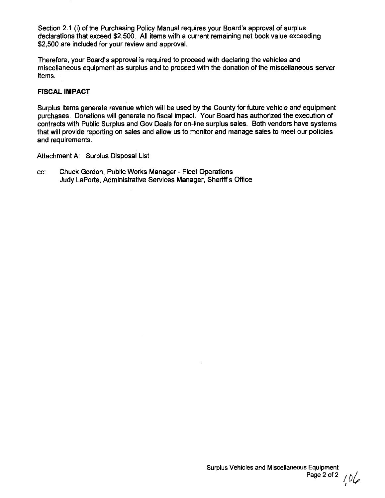Section 2.1 (i) of the Purchasing Policy Manual requires your Board's approval of surplus declarations that exceed \$2,500. All items with a current remaining net book value exceeding \$2,500 are included for your review and approval.

Therefore, your Board's approval is required to proceed with declaring the vehicles and miscellaneous equipment as surplus and to proceed with the donation of the miscellaneous server items.

## **FISCAL IMPACT**

Surplus items generate revenue which will be used by the County for future vehicle and equipment purchases. Donations will generate no fiscal impact. Your Board has authorized the execution of contracts with Public Surplus and Gov Deals for on-line surplus sales. Both vendors have systems that will provide reporting on sales and allow us to monitor and manage sales to meet our policies and requirements.

Attachment A: Surplus Disposal List

cc: Chuck Gordon, Public Works Manager - Fleet Operations Judy LaPorte, Administrative Services Manager, Sheriff's Office

I